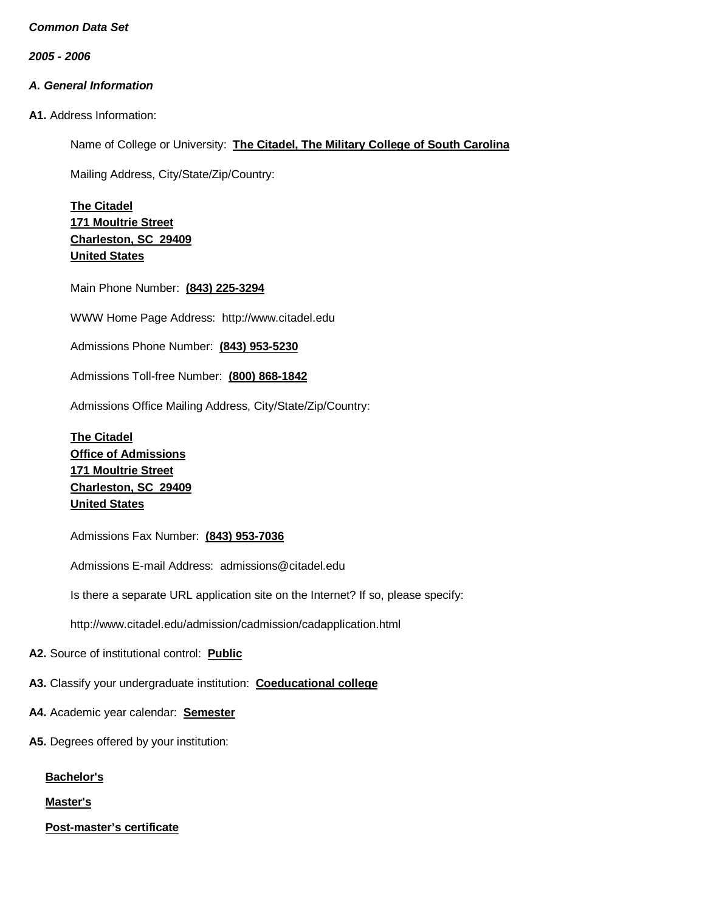*2005 - 2006*

# *A. General Information*

**A1.** Address Information:

Name of College or University: **The Citadel, The Military College of South Carolina**

Mailing Address, City/State/Zip/Country:

**The Citadel 171 Moultrie Street Charleston, SC 29409 United States**

Main Phone Number: **(843) 225-3294**

WWW Home Page Address: [http://www.citadel.edu](http://www.citadel.edu/)

Admissions Phone Number: **(843) 953-5230**

Admissions Toll-free Number: **(800) 868-1842**

Admissions Office Mailing Address, City/State/Zip/Country:

**The Citadel Office of Admissions 171 Moultrie Street Charleston, SC 29409 United States**

Admissions Fax Number: **(843) 953-7036**

Admissions E-mail Address: [admissions@citadel.edu](mailto:admissions@citadel.edu)

Is there a separate URL application site on the Internet? If so, please specify:

<http://www.citadel.edu/admission/cadmission/cadapplication.html>

**A2.** Source of institutional control: **Public**

**A3.** Classify your undergraduate institution: **Coeducational college**

- **A4.** Academic year calendar: **Semester**
- **A5.** Degrees offered by your institution:

**Bachelor's**

**Master's**

**Post-master's certificate**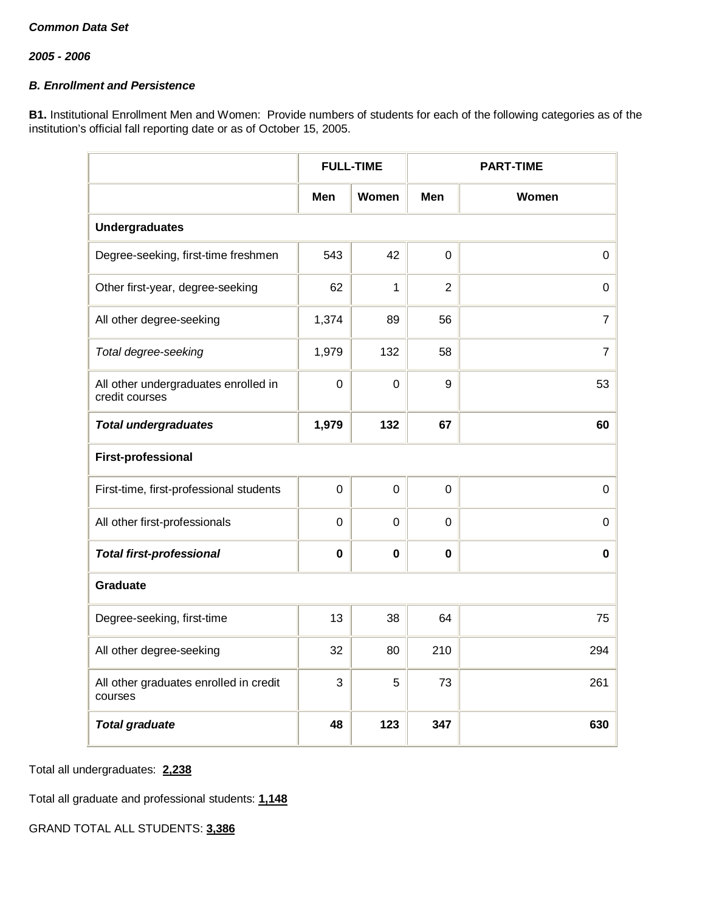## *B. Enrollment and Persistence*

**B1.** Institutional Enrollment Men and Women: Provide numbers of students for each of the following categories as of the institution's official fall reporting date or as of October 15, 2005.

|                                                        |             | <b>FULL-TIME</b> |                | <b>PART-TIME</b> |
|--------------------------------------------------------|-------------|------------------|----------------|------------------|
|                                                        | Men         | Women            | Men            | Women            |
| <b>Undergraduates</b>                                  |             |                  |                |                  |
| Degree-seeking, first-time freshmen                    | 543         | 42               | $\mathbf 0$    | $\pmb{0}$        |
| Other first-year, degree-seeking                       | 62          | 1                | $\overline{2}$ | 0                |
| All other degree-seeking                               | 1,374       | 89               | 56             | $\overline{7}$   |
| Total degree-seeking                                   | 1,979       | 132              | 58             | 7                |
| All other undergraduates enrolled in<br>credit courses | $\mathbf 0$ | $\mathbf 0$      | 9              | 53               |
| <b>Total undergraduates</b>                            | 1,979       | 132              | 67             | 60               |
| <b>First-professional</b>                              |             |                  |                |                  |
| First-time, first-professional students                | $\Omega$    | $\Omega$         | $\mathbf 0$    | $\mathbf 0$      |
| All other first-professionals                          | $\mathbf 0$ | $\mathbf 0$      | $\mathbf 0$    | 0                |
| <b>Total first-professional</b>                        | $\bf{0}$    | $\bf{0}$         | 0              | $\mathbf 0$      |
| <b>Graduate</b>                                        |             |                  |                |                  |
| Degree-seeking, first-time                             | 13          | 38               | 64             | 75               |
| All other degree-seeking                               | 32          | 80               | 210            | 294              |
| All other graduates enrolled in credit<br>courses      | 3           | 5                | 73             | 261              |
| <b>Total graduate</b>                                  | 48          | 123              | 347            | 630              |

Total all undergraduates: **2,238**

Total all graduate and professional students: **1,148**

GRAND TOTAL ALL STUDENTS: **3,386**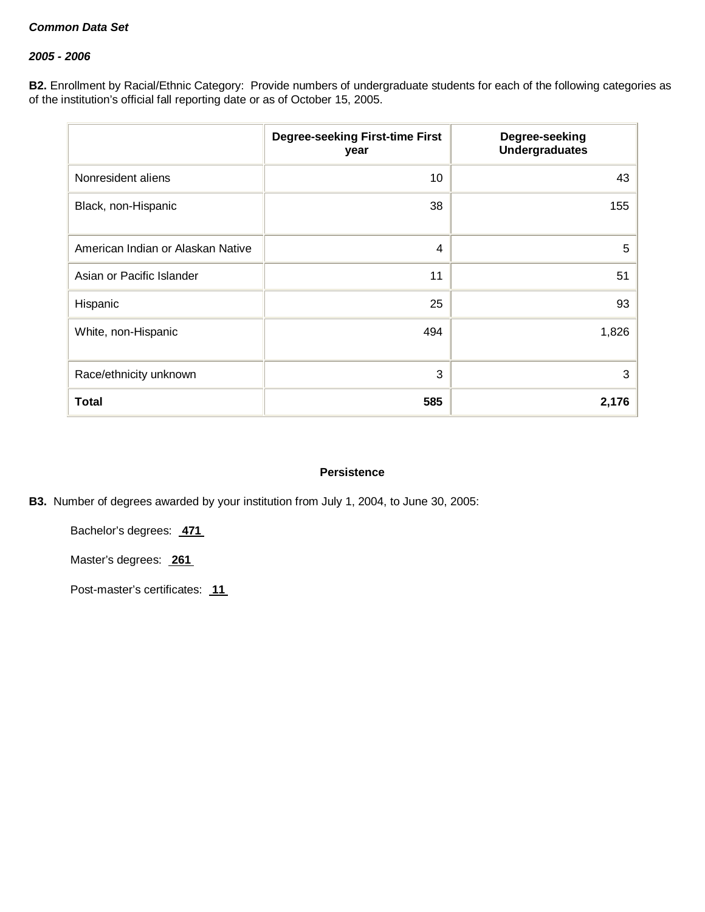## *2005 - 2006*

**B2.** Enrollment by Racial/Ethnic Category: Provide numbers of undergraduate students for each of the following categories as of the institution's official fall reporting date or as of October 15, 2005.

|                                   | <b>Degree-seeking First-time First</b><br>year | Degree-seeking<br><b>Undergraduates</b> |
|-----------------------------------|------------------------------------------------|-----------------------------------------|
| Nonresident aliens                | 10                                             | 43                                      |
| Black, non-Hispanic               | 38                                             | 155                                     |
| American Indian or Alaskan Native | 4                                              | 5                                       |
| Asian or Pacific Islander         | 11                                             | 51                                      |
| Hispanic                          | 25                                             | 93                                      |
| White, non-Hispanic               | 494                                            | 1,826                                   |
| Race/ethnicity unknown            | 3                                              | 3                                       |
| <b>Total</b>                      | 585                                            | 2,176                                   |

#### **Persistence**

**B3.** Number of degrees awarded by your institution from July 1, 2004, to June 30, 2005:

Bachelor's degrees: **471**

Master's degrees: **261**

Post-master's certificates: **11**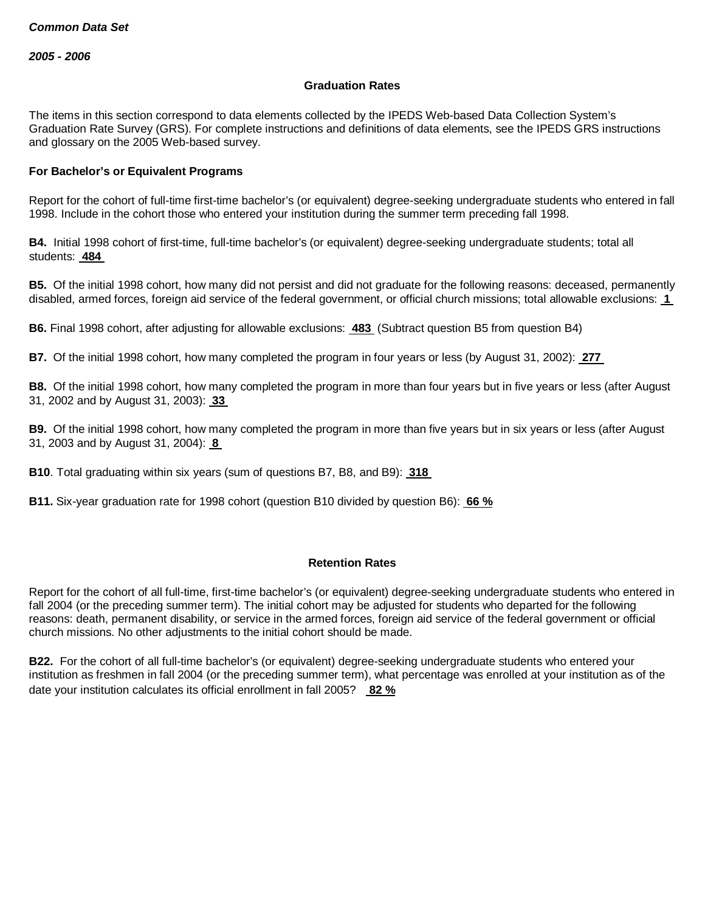#### **Graduation Rates**

The items in this section correspond to data elements collected by the IPEDS Web-based Data Collection System's Graduation Rate Survey (GRS). For complete instructions and definitions of data elements, see the IPEDS GRS instructions and glossary on the 2005 Web-based survey.

#### **For Bachelor's or Equivalent Programs**

Report for the cohort of full-time first-time bachelor's (or equivalent) degree-seeking undergraduate students who entered in fall 1998. Include in the cohort those who entered your institution during the summer term preceding fall 1998.

**B4.** Initial 1998 cohort of first-time, full-time bachelor's (or equivalent) degree-seeking undergraduate students; total all students: **484**

**B5.** Of the initial 1998 cohort, how many did not persist and did not graduate for the following reasons: deceased, permanently disabled, armed forces, foreign aid service of the federal government, or official church missions; total allowable exclusions: **1**

**B6.** Final 1998 cohort, after adjusting for allowable exclusions: **483** (Subtract question B5 from question B4)

**B7.** Of the initial 1998 cohort, how many completed the program in four years or less (by August 31, 2002): **277**

**B8.** Of the initial 1998 cohort, how many completed the program in more than four years but in five years or less (after August 31, 2002 and by August 31, 2003): **33**

**B9.** Of the initial 1998 cohort, how many completed the program in more than five years but in six years or less (after August 31, 2003 and by August 31, 2004): **8**

**B10**. Total graduating within six years (sum of questions B7, B8, and B9): **318**

**B11.** Six-year graduation rate for 1998 cohort (question B10 divided by question B6): **66 %**

#### **Retention Rates**

Report for the cohort of all full-time, first-time bachelor's (or equivalent) degree-seeking undergraduate students who entered in fall 2004 (or the preceding summer term). The initial cohort may be adjusted for students who departed for the following reasons: death, permanent disability, or service in the armed forces, foreign aid service of the federal government or official church missions. No other adjustments to the initial cohort should be made.

**B22.** For the cohort of all full-time bachelor's (or equivalent) degree-seeking undergraduate students who entered your institution as freshmen in fall 2004 (or the preceding summer term), what percentage was enrolled at your institution as of the date your institution calculates its official enrollment in fall 2005? **82 %**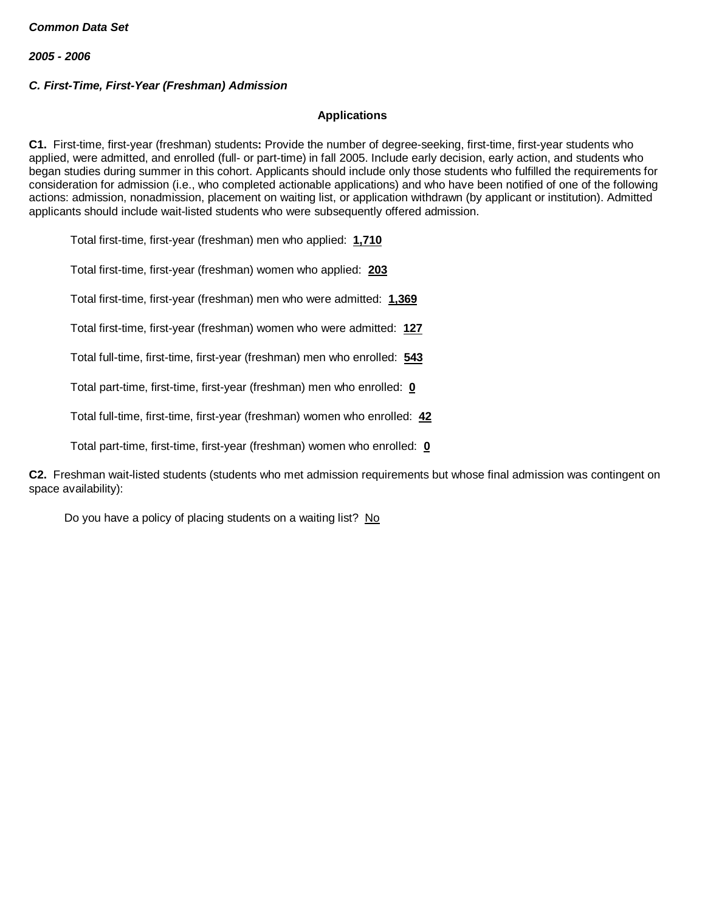## *C. First-Time, First-Year (Freshman) Admission*

#### **Applications**

**C1.** First-time, first-year (freshman) students**:** Provide the number of degree-seeking, first-time, first-year students who applied, were admitted, and enrolled (full- or part-time) in fall 2005. Include early decision, early action, and students who began studies during summer in this cohort. Applicants should include only those students who fulfilled the requirements for consideration for admission (i.e., who completed actionable applications) and who have been notified of one of the following actions: admission, nonadmission, placement on waiting list, or application withdrawn (by applicant or institution). Admitted applicants should include wait-listed students who were subsequently offered admission.

Total first-time, first-year (freshman) men who applied: **1,710**

Total first-time, first-year (freshman) women who applied: **203**

Total first-time, first-year (freshman) men who were admitted: **1,369**

Total first-time, first-year (freshman) women who were admitted: **127**

Total full-time, first-time, first-year (freshman) men who enrolled: **543**

Total part-time, first-time, first-year (freshman) men who enrolled: **0**

Total full-time, first-time, first-year (freshman) women who enrolled: **42**

Total part-time, first-time, first-year (freshman) women who enrolled: **0**

**C2.** Freshman wait-listed students (students who met admission requirements but whose final admission was contingent on space availability):

Do you have a policy of placing students on a waiting list? No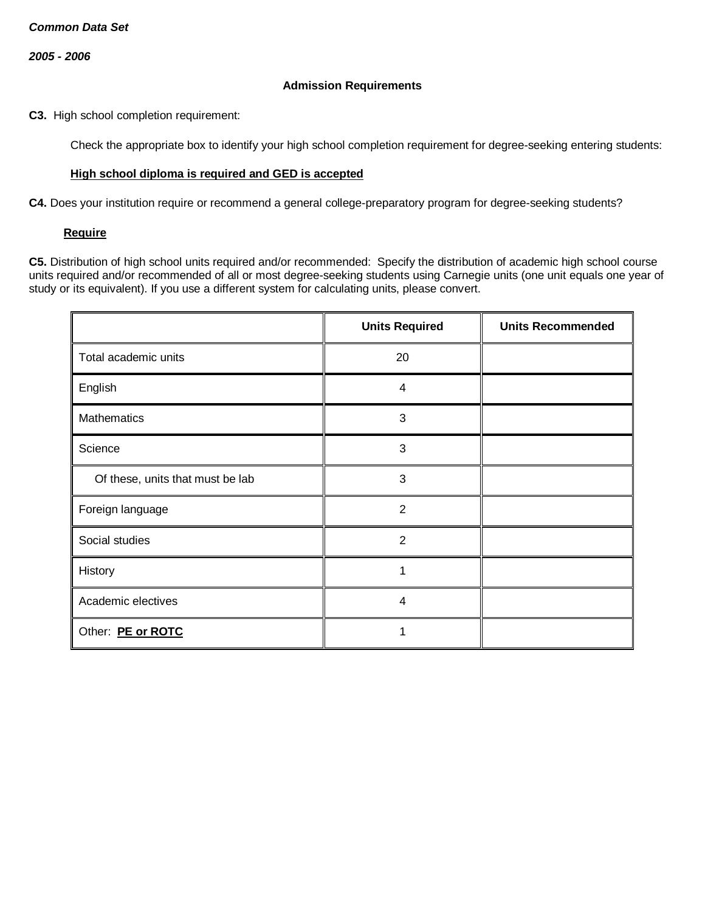### **Admission Requirements**

**C3.** High school completion requirement:

Check the appropriate box to identify your high school completion requirement for degree-seeking entering students:

## **High school diploma is required and GED is accepted**

**C4.** Does your institution require or recommend a general college-preparatory program for degree-seeking students?

#### **Require**

**C5.** Distribution of high school units required and/or recommended: Specify the distribution of academic high school course units required and/or recommended of all or most degree-seeking students using Carnegie units (one unit equals one year of study or its equivalent). If you use a different system for calculating units, please convert.

|                                  | <b>Units Required</b>   | <b>Units Recommended</b> |
|----------------------------------|-------------------------|--------------------------|
| Total academic units             | 20                      |                          |
| English                          | $\overline{\mathbf{4}}$ |                          |
| Mathematics                      | 3                       |                          |
| Science                          | 3                       |                          |
| Of these, units that must be lab | 3                       |                          |
| Foreign language                 | $\overline{2}$          |                          |
| Social studies                   | 2                       |                          |
| History                          | 1                       |                          |
| Academic electives               | $\overline{4}$          |                          |
| Other: PE or ROTC                |                         |                          |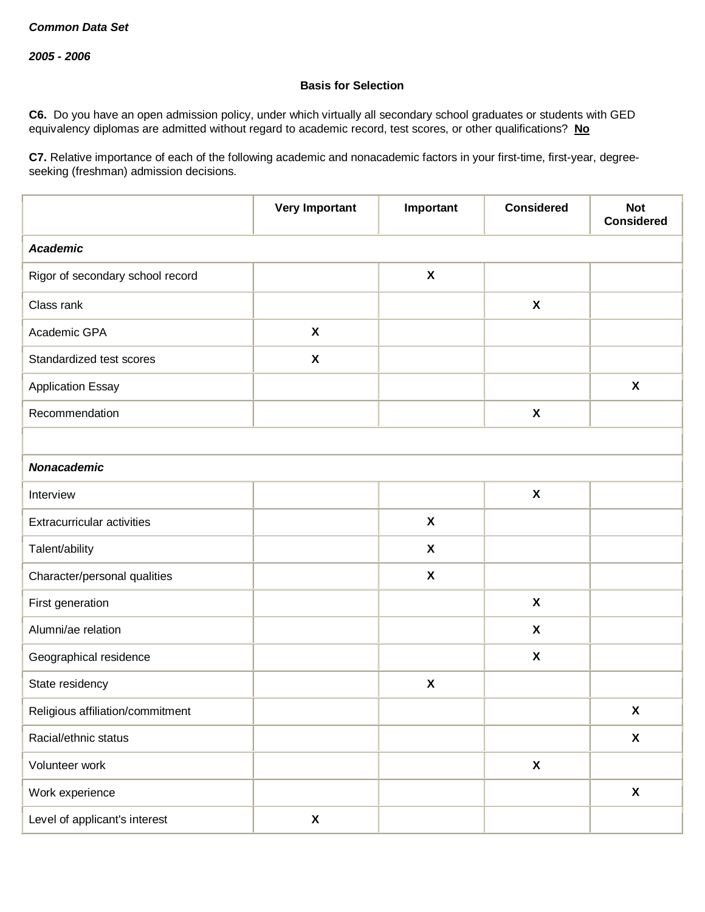## **Basis for Selection**

**C6.** Do you have an open admission policy, under which virtually all secondary school graduates or students with GED equivalency diplomas are admitted without regard to academic record, test scores, or other qualifications? **No**

**C7.** Relative importance of each of the following academic and nonacademic factors in your first-time, first-year, degreeseeking (freshman) admission decisions.

|                                   | <b>Very Important</b>     | Important                 | <b>Considered</b>         | <b>Not</b><br><b>Considered</b> |
|-----------------------------------|---------------------------|---------------------------|---------------------------|---------------------------------|
| <b>Academic</b>                   |                           |                           |                           |                                 |
| Rigor of secondary school record  |                           | $\pmb{\mathsf{X}}$        |                           |                                 |
| Class rank                        |                           |                           | $\boldsymbol{\mathsf{X}}$ |                                 |
| Academic GPA                      | $\boldsymbol{\mathsf{X}}$ |                           |                           |                                 |
| Standardized test scores          | $\boldsymbol{\mathsf{X}}$ |                           |                           |                                 |
| <b>Application Essay</b>          |                           |                           |                           | $\boldsymbol{\mathsf{X}}$       |
| Recommendation                    |                           |                           | $\pmb{\chi}$              |                                 |
|                                   |                           |                           |                           |                                 |
| <b>Nonacademic</b>                |                           |                           |                           |                                 |
| Interview                         |                           |                           | $\pmb{\chi}$              |                                 |
| <b>Extracurricular activities</b> |                           | $\pmb{\mathsf{X}}$        |                           |                                 |
| Talent/ability                    |                           | $\pmb{\mathsf{X}}$        |                           |                                 |
| Character/personal qualities      |                           | $\boldsymbol{\mathsf{X}}$ |                           |                                 |
| First generation                  |                           |                           | $\boldsymbol{\mathsf{X}}$ |                                 |
| Alumni/ae relation                |                           |                           | X                         |                                 |
| Geographical residence            |                           |                           | $\boldsymbol{\mathsf{X}}$ |                                 |
| State residency                   |                           | $\pmb{\chi}$              |                           |                                 |
| Religious affiliation/commitment  |                           |                           |                           | $\pmb{\mathsf{X}}$              |
| Racial/ethnic status              |                           |                           |                           | $\pmb{\mathsf{X}}$              |
| Volunteer work                    |                           |                           | $\pmb{\mathsf{X}}$        |                                 |
| Work experience                   |                           |                           |                           | $\boldsymbol{\mathsf{X}}$       |
| Level of applicant's interest     | X                         |                           |                           |                                 |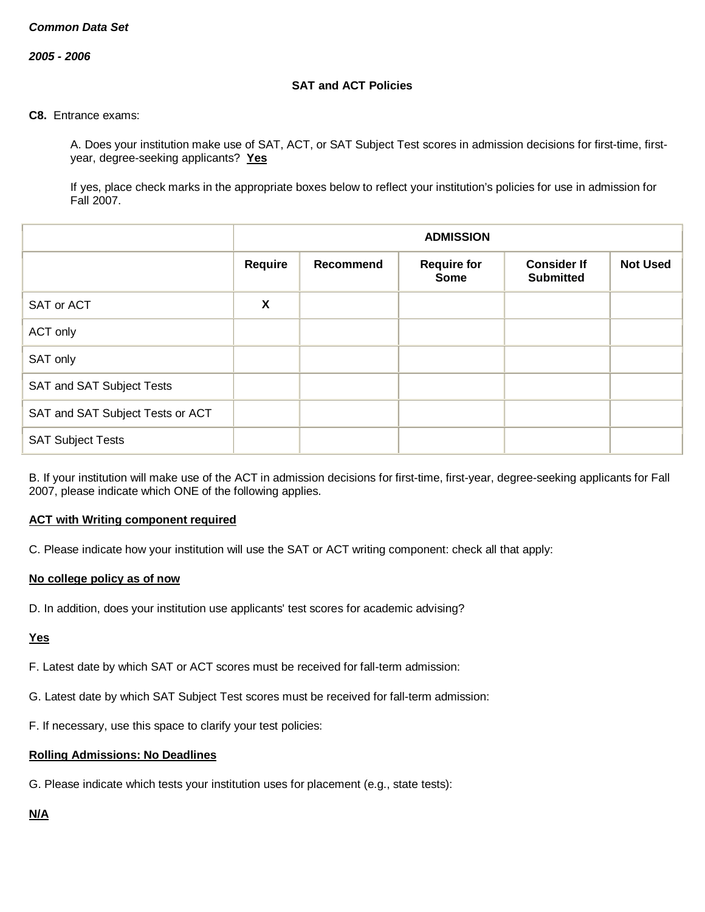*2005 - 2006*

## **SAT and ACT Policies**

#### **C8.** Entrance exams:

A. Does your institution make use of SAT, ACT, or SAT Subject Test scores in admission decisions for first-time, firstyear, degree-seeking applicants? **Yes**

If yes, place check marks in the appropriate boxes below to reflect your institution's policies for use in admission for Fall 2007.

|                                  |                | <b>ADMISSION</b> |                            |                                        |                 |
|----------------------------------|----------------|------------------|----------------------------|----------------------------------------|-----------------|
|                                  | <b>Require</b> | Recommend        | <b>Require for</b><br>Some | <b>Consider If</b><br><b>Submitted</b> | <b>Not Used</b> |
| SAT or ACT                       | X              |                  |                            |                                        |                 |
| ACT only                         |                |                  |                            |                                        |                 |
| SAT only                         |                |                  |                            |                                        |                 |
| SAT and SAT Subject Tests        |                |                  |                            |                                        |                 |
| SAT and SAT Subject Tests or ACT |                |                  |                            |                                        |                 |
| <b>SAT Subject Tests</b>         |                |                  |                            |                                        |                 |

B. If your institution will make use of the ACT in admission decisions for first-time, first-year, degree-seeking applicants for Fall 2007, please indicate which ONE of the following applies.

#### **ACT with Writing component required**

C. Please indicate how your institution will use the SAT or ACT writing component: check all that apply:

#### **No college policy as of now**

D. In addition, does your institution use applicants' test scores for academic advising?

#### **Yes**

F. Latest date by which SAT or ACT scores must be received for fall-term admission:

- G. Latest date by which SAT Subject Test scores must be received for fall-term admission:
- F. If necessary, use this space to clarify your test policies:

# **Rolling Admissions: No Deadlines**

G. Please indicate which tests your institution uses for placement (e.g., state tests):

## **N/A**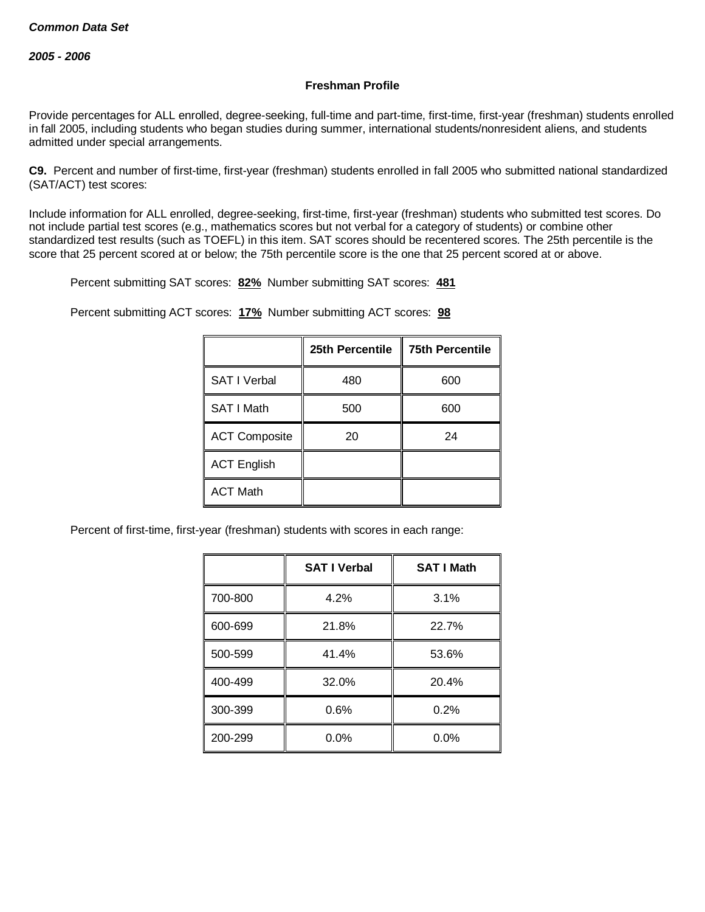### **Freshman Profile**

Provide percentages for ALL enrolled, degree-seeking, full-time and part-time, first-time, first-year (freshman) students enrolled in fall 2005, including students who began studies during summer, international students/nonresident aliens, and students admitted under special arrangements.

**C9.** Percent and number of first-time, first-year (freshman) students enrolled in fall 2005 who submitted national standardized (SAT/ACT) test scores:

Include information for ALL enrolled, degree-seeking, first-time, first-year (freshman) students who submitted test scores. Do not include partial test scores (e.g., mathematics scores but not verbal for a category of students) or combine other standardized test results (such as TOEFL) in this item. SAT scores should be recentered scores. The 25th percentile is the score that 25 percent scored at or below; the 75th percentile score is the one that 25 percent scored at or above.

Percent submitting SAT scores: **82%** Number submitting SAT scores: **481**

Percent submitting ACT scores: **17%** Number submitting ACT scores: **98**

|                      | 25th Percentile | <b>75th Percentile</b> |
|----------------------|-----------------|------------------------|
| <b>SAT I Verbal</b>  | 480             | 600                    |
| SAT I Math           | 500             | 600                    |
| <b>ACT Composite</b> | 20              | 24                     |
| <b>ACT English</b>   |                 |                        |
| <b>ACT Math</b>      |                 |                        |

Percent of first-time, first-year (freshman) students with scores in each range:

|         | <b>SAT I Verbal</b> | <b>SAT I Math</b> |
|---------|---------------------|-------------------|
| 700-800 | 4.2%                | 3.1%              |
| 600-699 | 21.8%               | 22.7%             |
| 500-599 | 41.4%               | 53.6%             |
| 400-499 | 32.0%               | 20.4%             |
| 300-399 | 0.6%                | 0.2%              |
| 200-299 | 0.0%                | 0.0%              |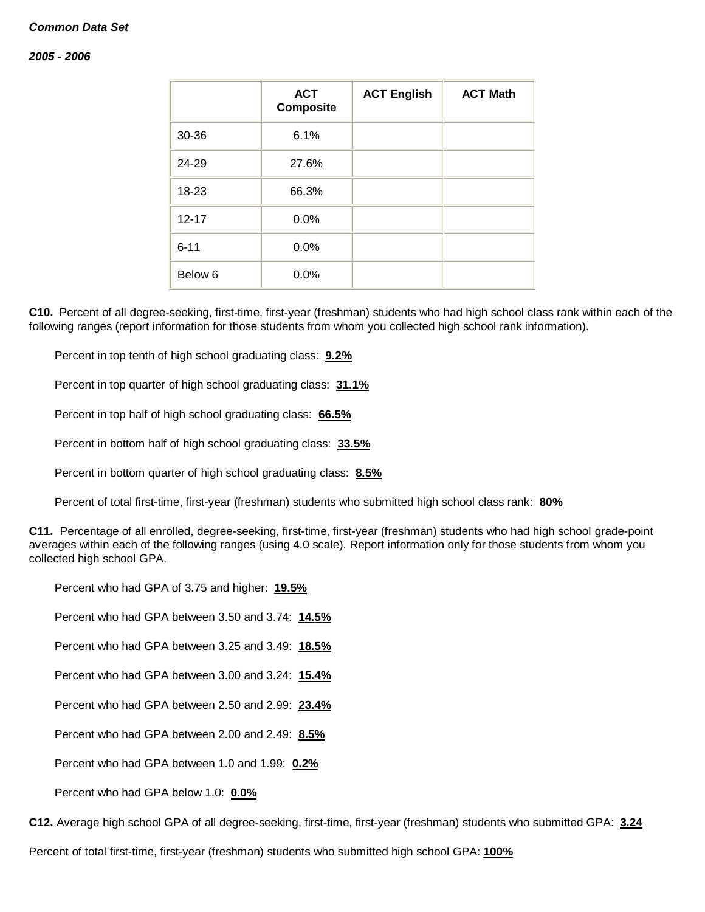#### *2005 - 2006*

|           | <b>ACT</b><br><b>Composite</b> | <b>ACT English</b> | <b>ACT Math</b> |
|-----------|--------------------------------|--------------------|-----------------|
| 30-36     | 6.1%                           |                    |                 |
| 24-29     | 27.6%                          |                    |                 |
| 18-23     | 66.3%                          |                    |                 |
| $12 - 17$ | 0.0%                           |                    |                 |
| $6 - 11$  | 0.0%                           |                    |                 |
| Below 6   | 0.0%                           |                    |                 |

**C10.** Percent of all degree-seeking, first-time, first-year (freshman) students who had high school class rank within each of the following ranges (report information for those students from whom you collected high school rank information).

Percent in top tenth of high school graduating class: **9.2%**

Percent in top quarter of high school graduating class: **31.1%**

Percent in top half of high school graduating class: **66.5%**

Percent in bottom half of high school graduating class: **33.5%**

Percent in bottom quarter of high school graduating class: **8.5%**

Percent of total first-time, first-year (freshman) students who submitted high school class rank: **80%**

**C11.** Percentage of all enrolled, degree-seeking, first-time, first-year (freshman) students who had high school grade-point averages within each of the following ranges (using 4.0 scale). Report information only for those students from whom you collected high school GPA.

Percent who had GPA of 3.75 and higher: **19.5%**

Percent who had GPA between 3.50 and 3.74: **14.5%**

Percent who had GPA between 3.25 and 3.49: **18.5%**

Percent who had GPA between 3.00 and 3.24: **15.4%**

Percent who had GPA between 2.50 and 2.99: **23.4%**

Percent who had GPA between 2.00 and 2.49: **8.5%**

Percent who had GPA between 1.0 and 1.99: **0.2%**

Percent who had GPA below 1.0: **0.0%**

**C12.** Average high school GPA of all degree-seeking, first-time, first-year (freshman) students who submitted GPA: **3.24**

Percent of total first-time, first-year (freshman) students who submitted high school GPA: **100%**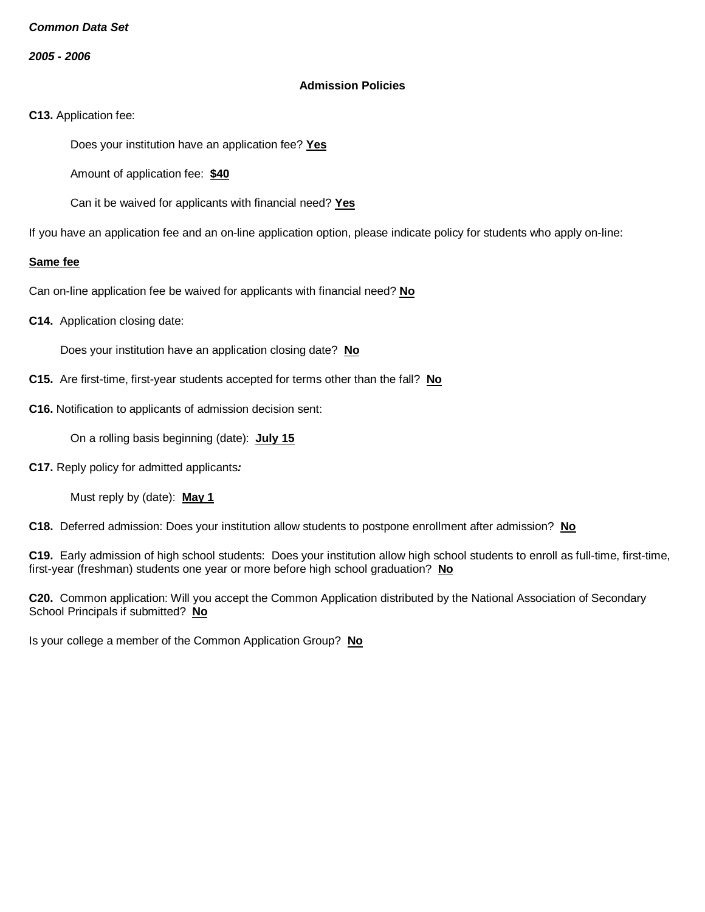*2005 - 2006*

## **Admission Policies**

**C13.** Application fee:

Does your institution have an application fee? **Yes**

Amount of application fee: **\$40**

Can it be waived for applicants with financial need? **Yes**

If you have an application fee and an on-line application option, please indicate policy for students who apply on-line:

#### **Same fee**

Can on-line application fee be waived for applicants with financial need? **No**

**C14.** Application closing date:

Does your institution have an application closing date? **No**

- **C15.** Are first-time, first-year students accepted for terms other than the fall? **No**
- **C16.** Notification to applicants of admission decision sent:

On a rolling basis beginning (date): **July 15**

**C17.** Reply policy for admitted applicants*:*

Must reply by (date): **May 1**

**C18.** Deferred admission: Does your institution allow students to postpone enrollment after admission? **No**

**C19.** Early admission of high school students: Does your institution allow high school students to enroll as full-time, first-time, first-year (freshman) students one year or more before high school graduation? **No**

**C20.** Common application: Will you accept the Common Application distributed by the National Association of Secondary School Principals if submitted? **No**

Is your college a member of the Common Application Group? **No**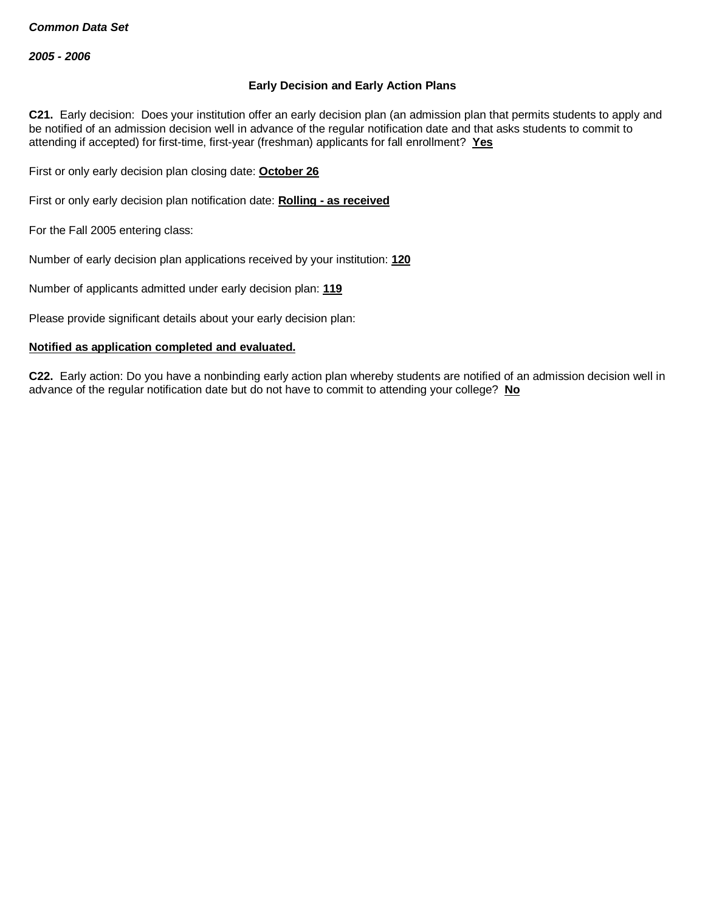### **Early Decision and Early Action Plans**

**C21.** Early decision: Does your institution offer an early decision plan (an admission plan that permits students to apply and be notified of an admission decision well in advance of the regular notification date and that asks students to commit to attending if accepted) for first-time, first-year (freshman) applicants for fall enrollment? **Yes**

First or only early decision plan closing date: **October 26**

First or only early decision plan notification date: **Rolling - as received**

For the Fall 2005 entering class:

Number of early decision plan applications received by your institution: **120**

Number of applicants admitted under early decision plan: **119**

Please provide significant details about your early decision plan:

#### **Notified as application completed and evaluated.**

**C22.** Early action: Do you have a nonbinding early action plan whereby students are notified of an admission decision well in advance of the regular notification date but do not have to commit to attending your college? **No**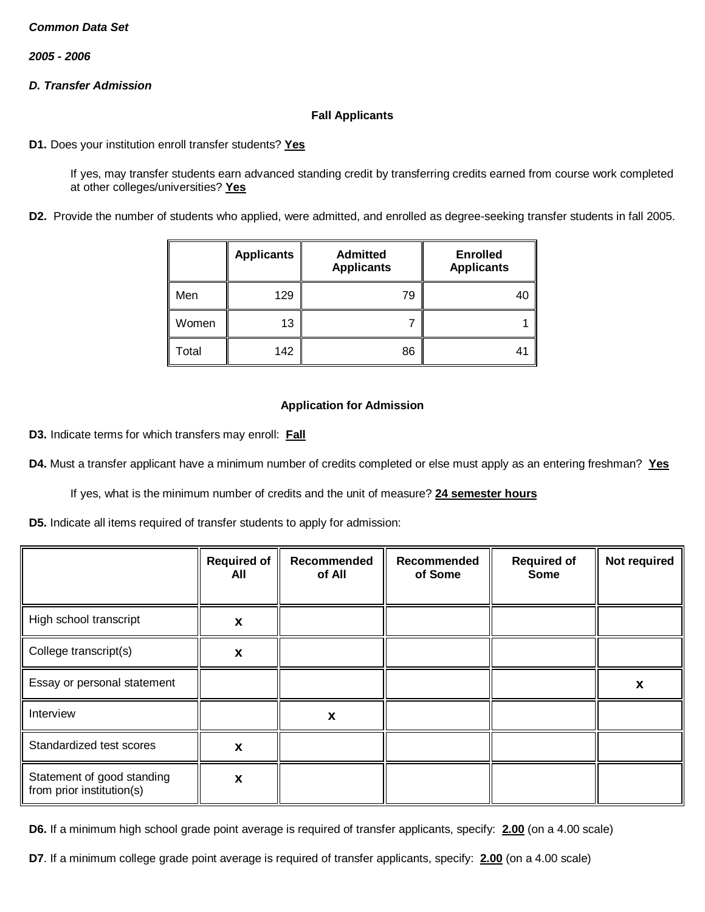*2005 - 2006*

# *D. Transfer Admission*

## **Fall Applicants**

**D1.** Does your institution enroll transfer students? **Yes**

If yes, may transfer students earn advanced standing credit by transferring credits earned from course work completed at other colleges/universities? **Yes**

**D2.** Provide the number of students who applied, were admitted, and enrolled as degree-seeking transfer students in fall 2005.

|       | <b>Applicants</b> | <b>Admitted</b><br><b>Applicants</b> | <b>Enrolled</b><br><b>Applicants</b> |
|-------|-------------------|--------------------------------------|--------------------------------------|
| Men   | 129               | 79                                   | 40                                   |
| Women | 13                |                                      |                                      |
| Total | 142               | 86                                   | 41                                   |

#### **Application for Admission**

**D3.** Indicate terms for which transfers may enroll: **Fall**

**D4.** Must a transfer applicant have a minimum number of credits completed or else must apply as an entering freshman? **Yes**

If yes, what is the minimum number of credits and the unit of measure? **24 semester hours**

**D5.** Indicate all items required of transfer students to apply for admission:

|                                                         | <b>Required of</b><br>All | Recommended<br>of All | Recommended<br>of Some | <b>Required of</b><br><b>Some</b> | Not required |
|---------------------------------------------------------|---------------------------|-----------------------|------------------------|-----------------------------------|--------------|
| High school transcript                                  | X                         |                       |                        |                                   |              |
| College transcript(s)                                   | X                         |                       |                        |                                   |              |
| Essay or personal statement                             |                           |                       |                        |                                   | X            |
| Interview                                               |                           | X                     |                        |                                   |              |
| Standardized test scores                                | X                         |                       |                        |                                   |              |
| Statement of good standing<br>from prior institution(s) | X                         |                       |                        |                                   |              |

**D6.** If a minimum high school grade point average is required of transfer applicants, specify: **2.00** (on a 4.00 scale)

**D7**. If a minimum college grade point average is required of transfer applicants, specify: **2.00** (on a 4.00 scale)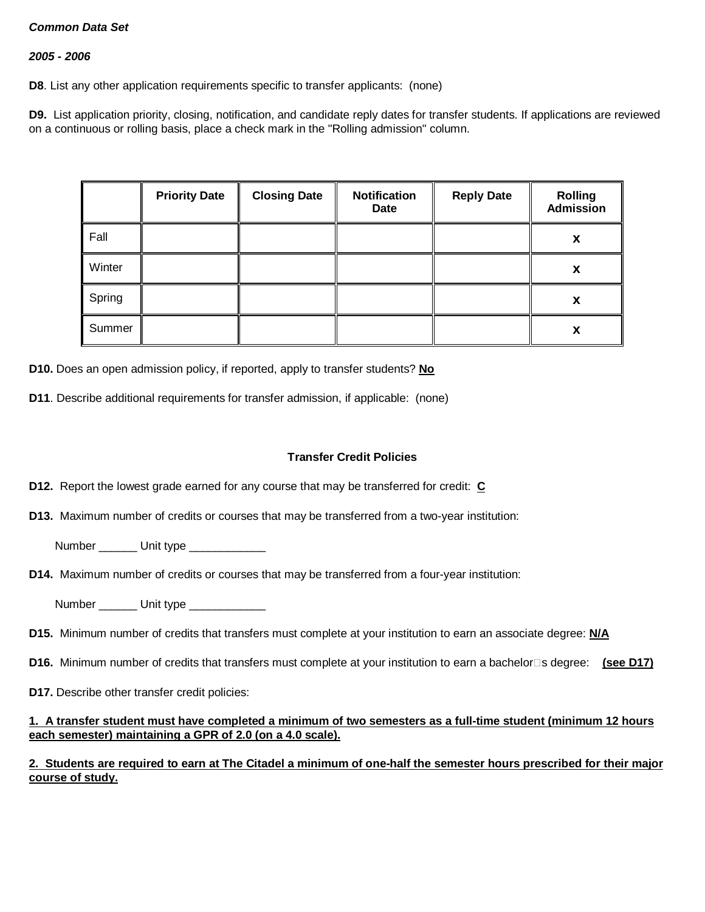## *2005 - 2006*

**D8**. List any other application requirements specific to transfer applicants: (none)

**D9.** List application priority, closing, notification, and candidate reply dates for transfer students. If applications are reviewed on a continuous or rolling basis, place a check mark in the "Rolling admission" column.

|        | <b>Priority Date</b> | <b>Closing Date</b> | <b>Notification</b><br><b>Date</b> | <b>Reply Date</b> | <b>Rolling</b><br><b>Admission</b> |
|--------|----------------------|---------------------|------------------------------------|-------------------|------------------------------------|
| Fall   |                      |                     |                                    |                   | X                                  |
| Winter |                      |                     |                                    |                   | X                                  |
| Spring |                      |                     |                                    |                   | X                                  |
| Summer |                      |                     |                                    |                   | X                                  |

**D10.** Does an open admission policy, if reported, apply to transfer students? **No**

**D11**. Describe additional requirements for transfer admission, if applicable: (none)

#### **Transfer Credit Policies**

- **D12.** Report the lowest grade earned for any course that may be transferred for credit: **C**
- **D13.** Maximum number of credits or courses that may be transferred from a two-year institution:
	- Number Unit type
- **D14.** Maximum number of credits or courses that may be transferred from a four-year institution:
	- Number **Unit type**
- **D15.** Minimum number of credits that transfers must complete at your institution to earn an associate degree: **N/A**
- **D16.** Minimum number of credits that transfers must complete at your institution to earn a bachelor<sup>n</sup>s degree: (see D17)
- **D17.** Describe other transfer credit policies:

#### **1. A transfer student must have completed a minimum of two semesters as a full-time student (minimum 12 hours each semester) maintaining a GPR of 2.0 (on a 4.0 scale).**

## **2. Students are required to earn at The Citadel a minimum of one-half the semester hours prescribed for their major course of study.**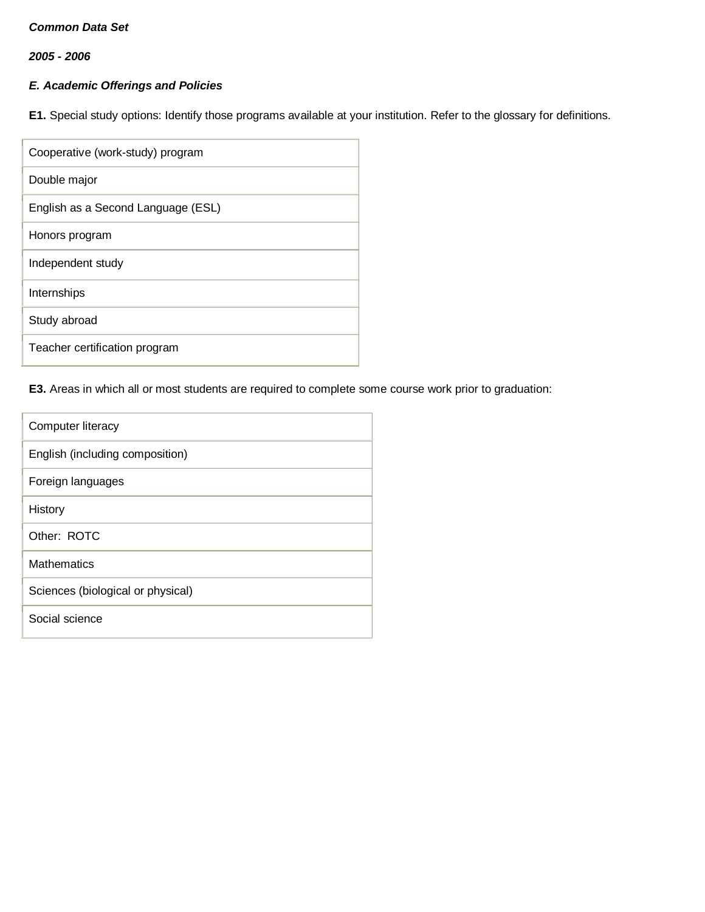*2005 - 2006*

# *E. Academic Offerings and Policies*

**E1.** Special study options: Identify those programs available at your institution. Refer to the glossary for definitions.

| Cooperative (work-study) program   |
|------------------------------------|
| Double major                       |
| English as a Second Language (ESL) |
| Honors program                     |
| Independent study                  |
| Internships                        |
| Study abroad                       |
| Teacher certification program      |

# **E3.** Areas in which all or most students are required to complete some course work prior to graduation:

| Computer literacy                 |
|-----------------------------------|
| English (including composition)   |
| Foreign languages                 |
| History                           |
| Other: ROTC                       |
| Mathematics                       |
| Sciences (biological or physical) |
| Social science                    |
|                                   |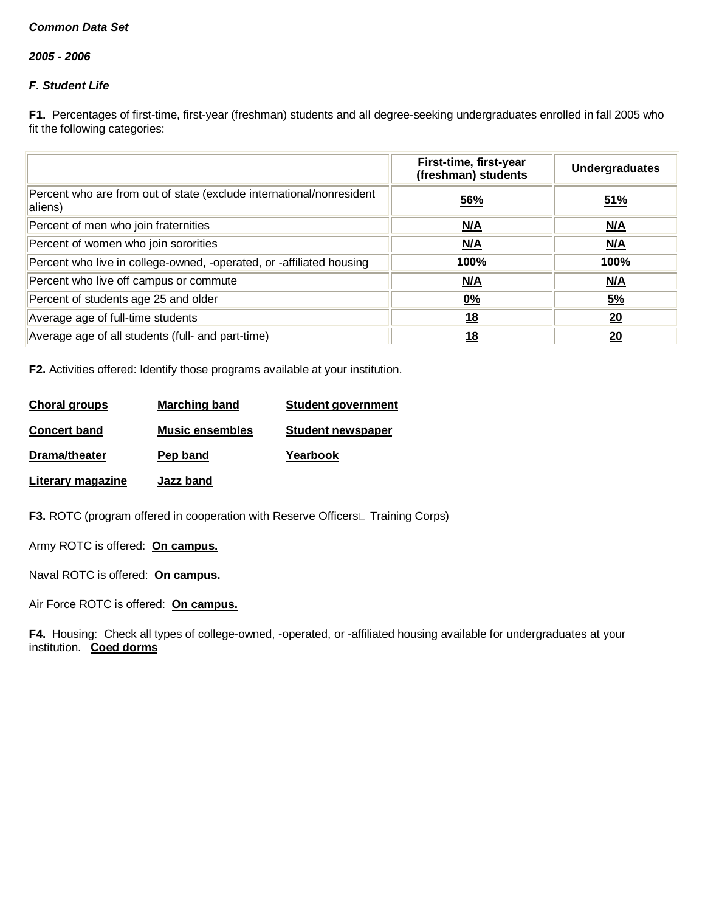*2005 - 2006*

# *F. Student Life*

**F1.** Percentages of first-time, first-year (freshman) students and all degree-seeking undergraduates enrolled in fall 2005 who fit the following categories:

|                                                                                 | First-time, first-year<br>(freshman) students | <b>Undergraduates</b> |
|---------------------------------------------------------------------------------|-----------------------------------------------|-----------------------|
| Percent who are from out of state (exclude international/nonresident<br>aliens) | 56%                                           | 51%                   |
| Percent of men who join fraternities                                            | N/A                                           | N/A                   |
| Percent of women who join sororities                                            | N/A                                           | <u>N/A</u>            |
| Percent who live in college-owned, -operated, or -affiliated housing            | 100%                                          | 100%                  |
| Percent who live off campus or commute                                          | <u>N/A</u>                                    | M/A                   |
| Percent of students age 25 and older                                            | <u>0%</u>                                     | <u>5%</u>             |
| Average age of full-time students                                               | <u>18</u>                                     | 20                    |
| Average age of all students (full- and part-time)                               | 18                                            | 20                    |

**F2.** Activities offered: Identify those programs available at your institution.

| Choral groups       | <b>Marching band</b>   | <b>Student government</b> |
|---------------------|------------------------|---------------------------|
| <b>Concert band</b> | <b>Music ensembles</b> | <b>Student newspaper</b>  |
| Drama/theater       | Pep band               | Yearbook                  |
| Literary magazine   | Jazz band              |                           |

**F3.** ROTC (program offered in cooperation with Reserve Officers Training Corps)

Army ROTC is offered: **On campus.**

Naval ROTC is offered: **On campus.**

Air Force ROTC is offered: **On campus.**

**F4.** Housing: Check all types of college-owned, -operated, or -affiliated housing available for undergraduates at your institution. **Coed dorms**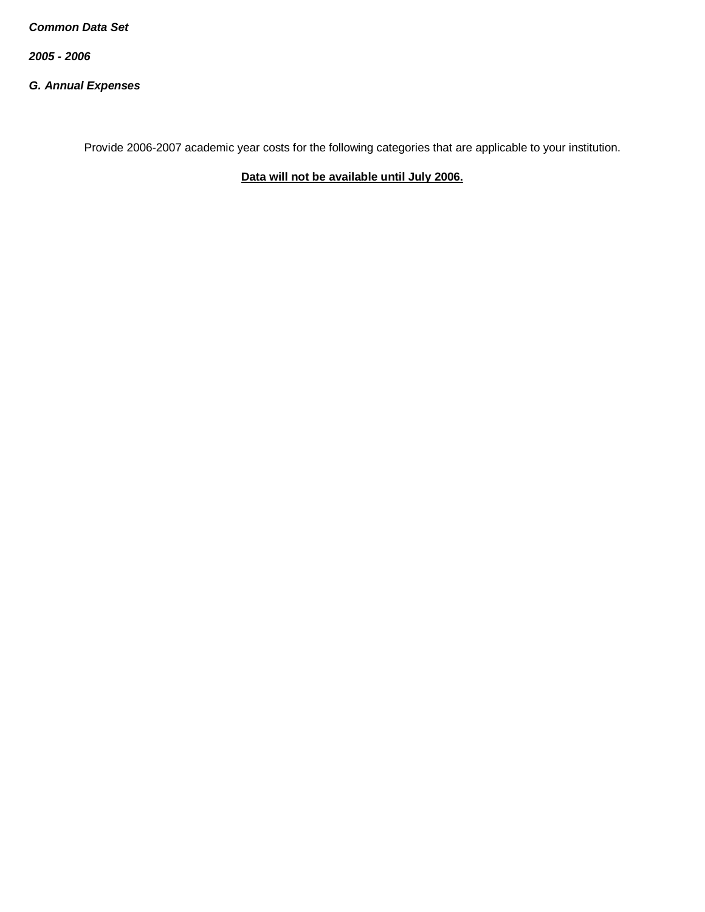*2005 - 2006*

*G. Annual Expenses*

Provide 2006-2007 academic year costs for the following categories that are applicable to your institution.

**Data will not be available until July 2006.**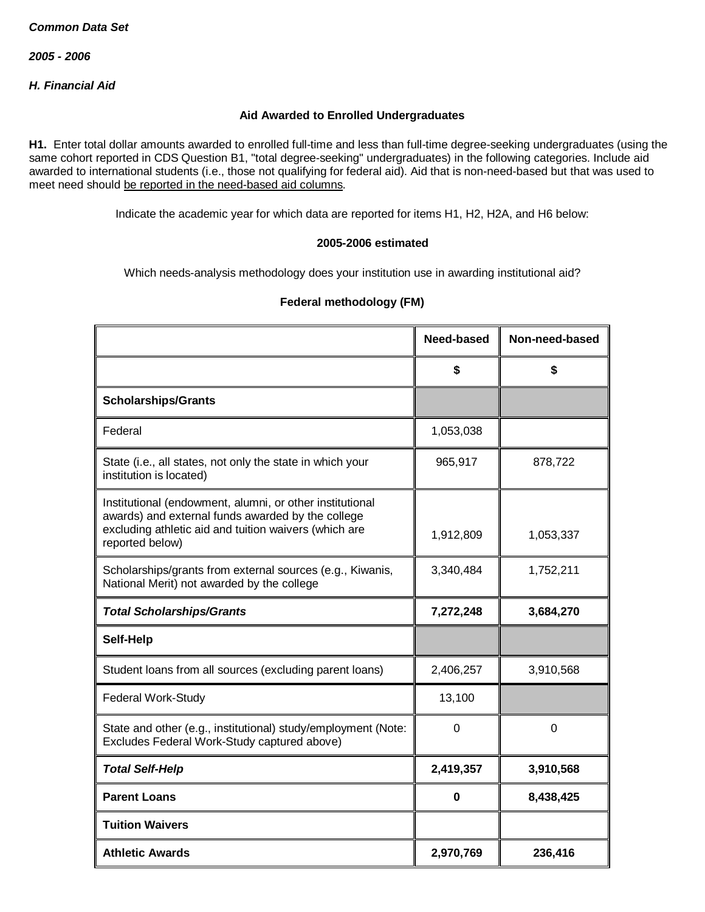*H. Financial Aid*

## **Aid Awarded to Enrolled Undergraduates**

**H1.** Enter total dollar amounts awarded to enrolled full-time and less than full-time degree-seeking undergraduates (using the same cohort reported in CDS Question B1, "total degree-seeking" undergraduates) in the following categories. Include aid awarded to international students (i.e., those not qualifying for federal aid). Aid that is non-need-based but that was used to meet need should be reported in the need-based aid columns.

Indicate the academic year for which data are reported for items H1, H2, H2A, and H6 below:

#### **2005-2006 estimated**

Which needs-analysis methodology does your institution use in awarding institutional aid?

|                                                                                                                                                                                           | Need-based  | Non-need-based |
|-------------------------------------------------------------------------------------------------------------------------------------------------------------------------------------------|-------------|----------------|
|                                                                                                                                                                                           | \$          | \$             |
| <b>Scholarships/Grants</b>                                                                                                                                                                |             |                |
| Federal                                                                                                                                                                                   | 1,053,038   |                |
| State (i.e., all states, not only the state in which your<br>institution is located)                                                                                                      | 965,917     | 878,722        |
| Institutional (endowment, alumni, or other institutional<br>awards) and external funds awarded by the college<br>excluding athletic aid and tuition waivers (which are<br>reported below) | 1,912,809   | 1,053,337      |
| Scholarships/grants from external sources (e.g., Kiwanis,<br>National Merit) not awarded by the college                                                                                   | 3,340,484   | 1,752,211      |
| <b>Total Scholarships/Grants</b>                                                                                                                                                          | 7,272,248   | 3,684,270      |
| Self-Help                                                                                                                                                                                 |             |                |
| Student loans from all sources (excluding parent loans)                                                                                                                                   | 2,406,257   | 3,910,568      |
| Federal Work-Study                                                                                                                                                                        | 13,100      |                |
| State and other (e.g., institutional) study/employment (Note:<br>Excludes Federal Work-Study captured above)                                                                              | $\mathbf 0$ | $\mathbf 0$    |
| <b>Total Self-Help</b>                                                                                                                                                                    | 2,419,357   | 3,910,568      |
| <b>Parent Loans</b>                                                                                                                                                                       | 0           | 8,438,425      |
| <b>Tuition Waivers</b>                                                                                                                                                                    |             |                |
| <b>Athletic Awards</b>                                                                                                                                                                    | 2,970,769   | 236,416        |

## **Federal methodology (FM)**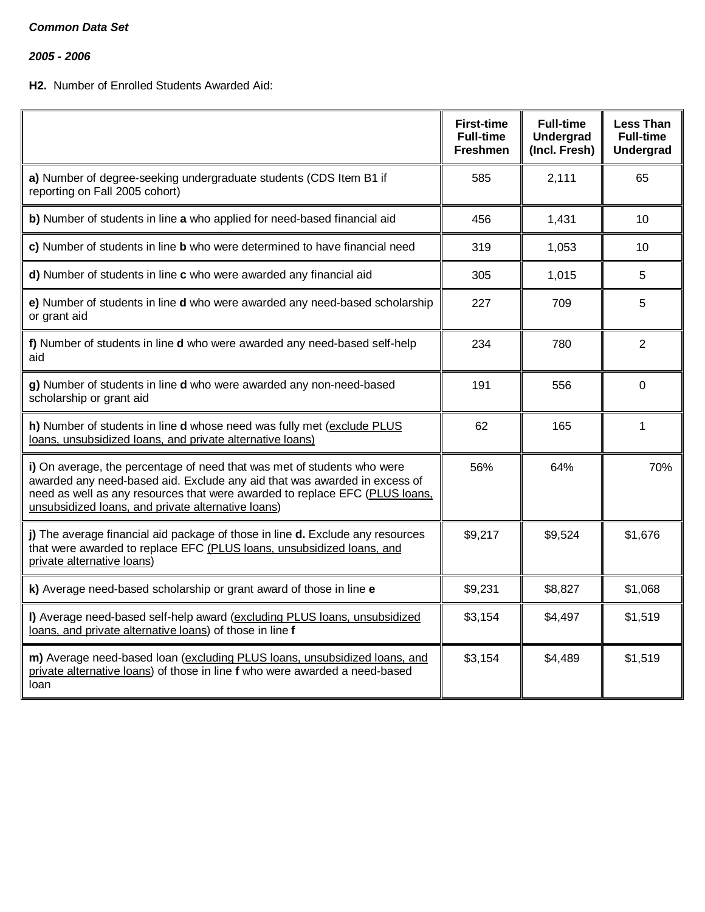*2005 - 2006*

# **H2.** Number of Enrolled Students Awarded Aid:

|                                                                                                                                                                                                                                                                                           | <b>First-time</b><br><b>Full-time</b><br><b>Freshmen</b> | <b>Full-time</b><br><b>Undergrad</b><br>(Incl. Fresh) | Less Than<br><b>Full-time</b><br><b>Undergrad</b> |
|-------------------------------------------------------------------------------------------------------------------------------------------------------------------------------------------------------------------------------------------------------------------------------------------|----------------------------------------------------------|-------------------------------------------------------|---------------------------------------------------|
| a) Number of degree-seeking undergraduate students (CDS Item B1 if<br>reporting on Fall 2005 cohort)                                                                                                                                                                                      | 585                                                      | 2,111                                                 | 65                                                |
| b) Number of students in line a who applied for need-based financial aid                                                                                                                                                                                                                  | 456                                                      | 1,431                                                 | 10                                                |
| c) Number of students in line b who were determined to have financial need                                                                                                                                                                                                                | 319                                                      | 1,053                                                 | 10                                                |
| d) Number of students in line c who were awarded any financial aid                                                                                                                                                                                                                        | 305                                                      | 1,015                                                 | 5                                                 |
| e) Number of students in line d who were awarded any need-based scholarship<br>or grant aid                                                                                                                                                                                               | 227                                                      | 709                                                   | 5                                                 |
| f) Number of students in line d who were awarded any need-based self-help<br>aid                                                                                                                                                                                                          | 234                                                      | 780                                                   | 2                                                 |
| g) Number of students in line d who were awarded any non-need-based<br>scholarship or grant aid                                                                                                                                                                                           | 191                                                      | 556                                                   | $\Omega$                                          |
| h) Number of students in line d whose need was fully met (exclude PLUS<br>loans, unsubsidized loans, and private alternative loans)                                                                                                                                                       | 62                                                       | 165                                                   | 1                                                 |
| i) On average, the percentage of need that was met of students who were<br>awarded any need-based aid. Exclude any aid that was awarded in excess of<br>need as well as any resources that were awarded to replace EFC (PLUS loans,<br>unsubsidized loans, and private alternative loans) | 56%                                                      | 64%                                                   | 70%                                               |
| j) The average financial aid package of those in line d. Exclude any resources<br>that were awarded to replace EFC (PLUS loans, unsubsidized loans, and<br>private alternative loans)                                                                                                     | \$9,217                                                  | \$9,524                                               | \$1,676                                           |
| k) Average need-based scholarship or grant award of those in line e                                                                                                                                                                                                                       | \$9,231                                                  | \$8,827                                               | \$1,068                                           |
| I) Average need-based self-help award (excluding PLUS loans, unsubsidized<br>loans, and private alternative loans) of those in line f                                                                                                                                                     | \$3,154                                                  | \$4,497                                               | \$1,519                                           |
| m) Average need-based loan (excluding PLUS loans, unsubsidized loans, and<br>private alternative loans) of those in line f who were awarded a need-based<br>loan                                                                                                                          | \$3,154                                                  | \$4,489                                               | \$1,519                                           |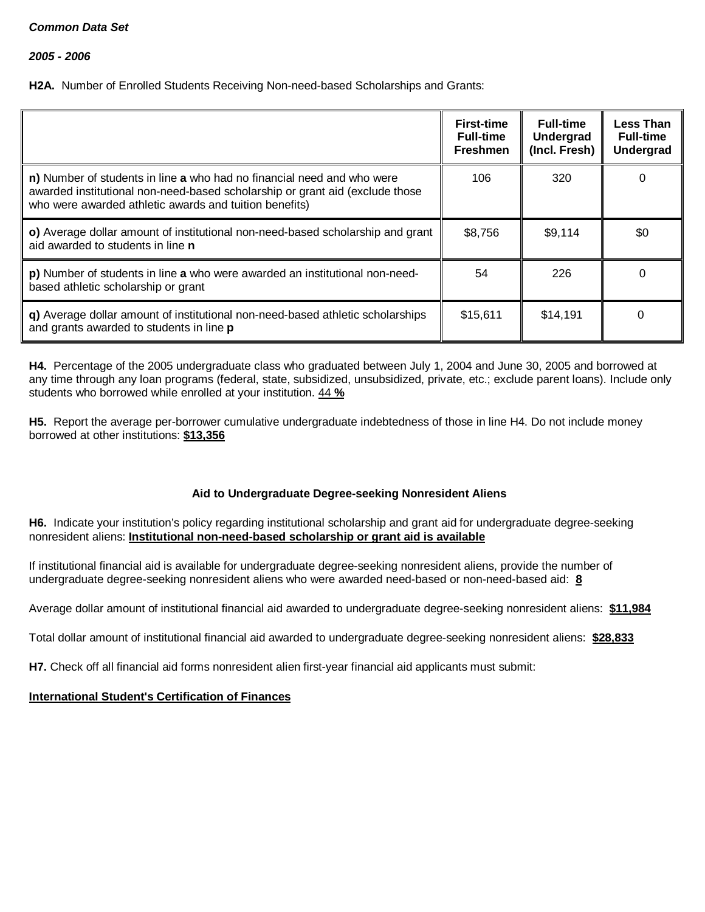*2005 - 2006*

**H2A.** Number of Enrolled Students Receiving Non-need-based Scholarships and Grants:

|                                                                                                                                                                                                                  | <b>First-time</b><br><b>Full-time</b><br><b>Freshmen</b> | <b>Full-time</b><br>Undergrad<br>(Incl. Fresh) | <b>Less Than</b><br><b>Full-time</b><br><b>Undergrad</b> |
|------------------------------------------------------------------------------------------------------------------------------------------------------------------------------------------------------------------|----------------------------------------------------------|------------------------------------------------|----------------------------------------------------------|
| n) Number of students in line a who had no financial need and who were<br>awarded institutional non-need-based scholarship or grant aid (exclude those<br>who were awarded athletic awards and tuition benefits) | 106                                                      | 320                                            | 0                                                        |
| o) Average dollar amount of institutional non-need-based scholarship and grant<br>aid awarded to students in line <b>n</b>                                                                                       | \$8,756                                                  | \$9,114                                        | \$0                                                      |
| p) Number of students in line a who were awarded an institutional non-need-<br>based athletic scholarship or grant                                                                                               | 54                                                       | 226                                            | 0                                                        |
| q) Average dollar amount of institutional non-need-based athletic scholarships<br>and grants awarded to students in line p                                                                                       | \$15,611                                                 | \$14,191                                       | n                                                        |

**H4.** Percentage of the 2005 undergraduate class who graduated between July 1, 2004 and June 30, 2005 and borrowed at any time through any loan programs (federal, state, subsidized, unsubsidized, private, etc.; exclude parent loans). Include only students who borrowed while enrolled at your institution. 44 **%**

**H5.** Report the average per-borrower cumulative undergraduate indebtedness of those in line H4. Do not include money borrowed at other institutions: **\$13,356**

## **Aid to Undergraduate Degree-seeking Nonresident Aliens**

**H6.** Indicate your institution's policy regarding institutional scholarship and grant aid for undergraduate degree-seeking nonresident aliens: **Institutional non-need-based scholarship or grant aid is available**

If institutional financial aid is available for undergraduate degree-seeking nonresident aliens, provide the number of undergraduate degree-seeking nonresident aliens who were awarded need-based or non-need-based aid: **8**

Average dollar amount of institutional financial aid awarded to undergraduate degree-seeking nonresident aliens: **\$11,984**

Total dollar amount of institutional financial aid awarded to undergraduate degree-seeking nonresident aliens: **\$28,833**

**H7.** Check off all financial aid forms nonresident alien first-year financial aid applicants must submit:

## **International Student's Certification of Finances**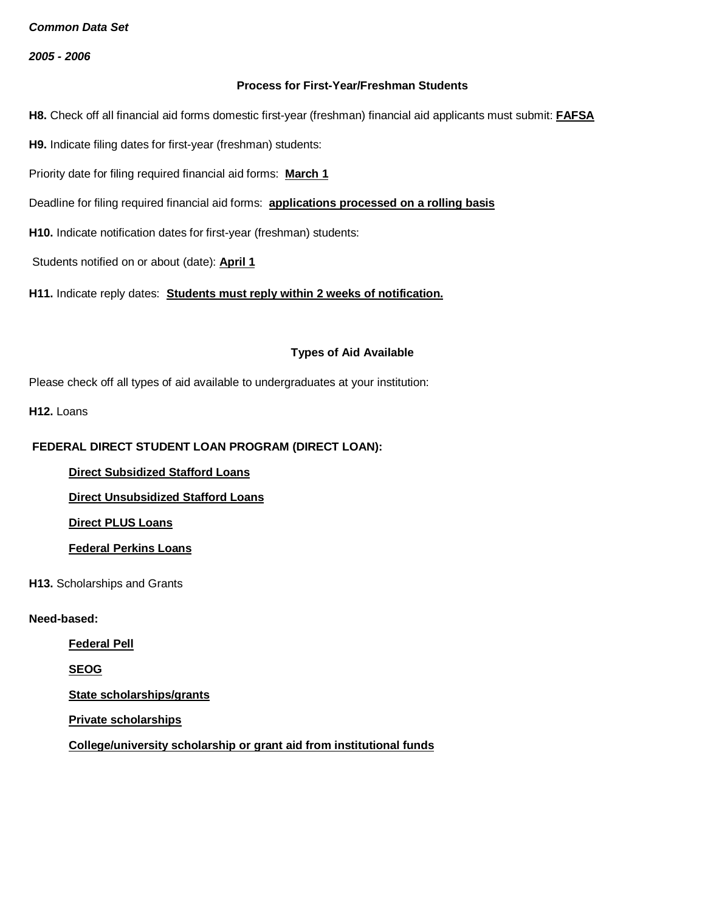*2005 - 2006*

### **Process for First-Year/Freshman Students**

**H8.** Check off all financial aid forms domestic first-year (freshman) financial aid applicants must submit: **FAFSA**

**H9.** Indicate filing dates for first-year (freshman) students:

Priority date for filing required financial aid forms: **March 1**

Deadline for filing required financial aid forms: **applications processed on a rolling basis**

**H10.** Indicate notification dates for first-year (freshman) students:

Students notified on or about (date): **April 1**

**H11.** Indicate reply dates: **Students must reply within 2 weeks of notification.**

#### **Types of Aid Available**

Please check off all types of aid available to undergraduates at your institution:

**H12.** Loans

## **FEDERAL DIRECT STUDENT LOAN PROGRAM (DIRECT LOAN):**

**Direct Subsidized Stafford Loans**

**Direct Unsubsidized Stafford Loans**

**Direct PLUS Loans**

**Federal Perkins Loans**

**H13.** Scholarships and Grants

#### **Need-based:**

**Federal Pell**

**SEOG**

**State scholarships/grants**

**Private scholarships**

**College/university scholarship or grant aid from institutional funds**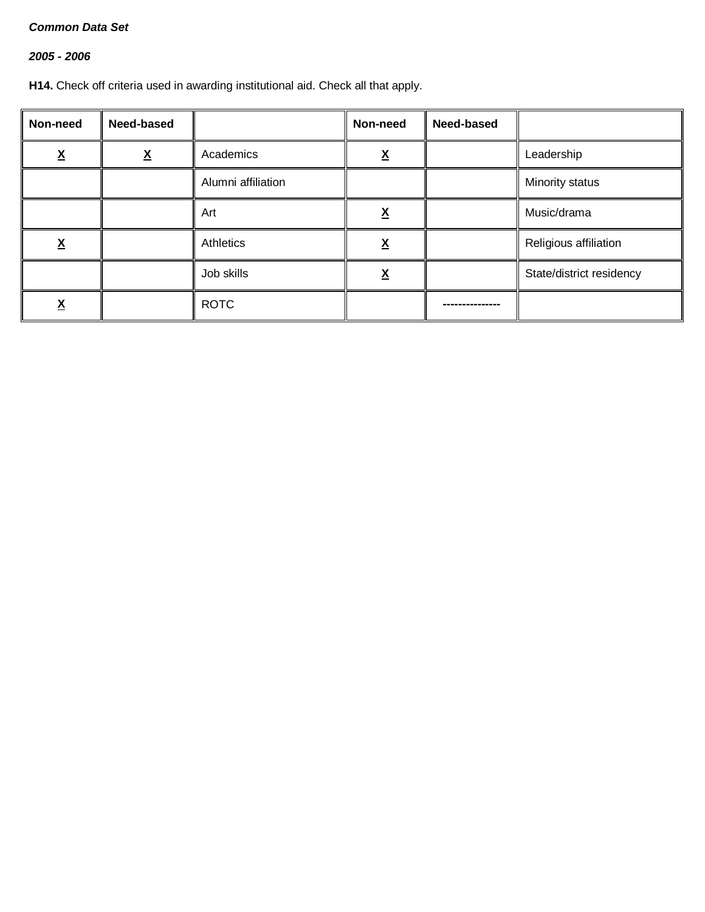# *2005 - 2006*

**H14.** Check off criteria used in awarding institutional aid. Check all that apply.

| Non-need | Need-based |                    | Non-need | Need-based |                          |
|----------|------------|--------------------|----------|------------|--------------------------|
| v        | <u>х</u>   | Academics          | v        |            | Leadership               |
|          |            | Alumni affiliation |          |            | Minority status          |
|          |            | Art                | <u>л</u> |            | Music/drama              |
| <u>х</u> |            | Athletics          | Λ        |            | Religious affiliation    |
|          |            | Job skills         | Λ        |            | State/district residency |
|          |            | <b>ROTC</b>        |          |            |                          |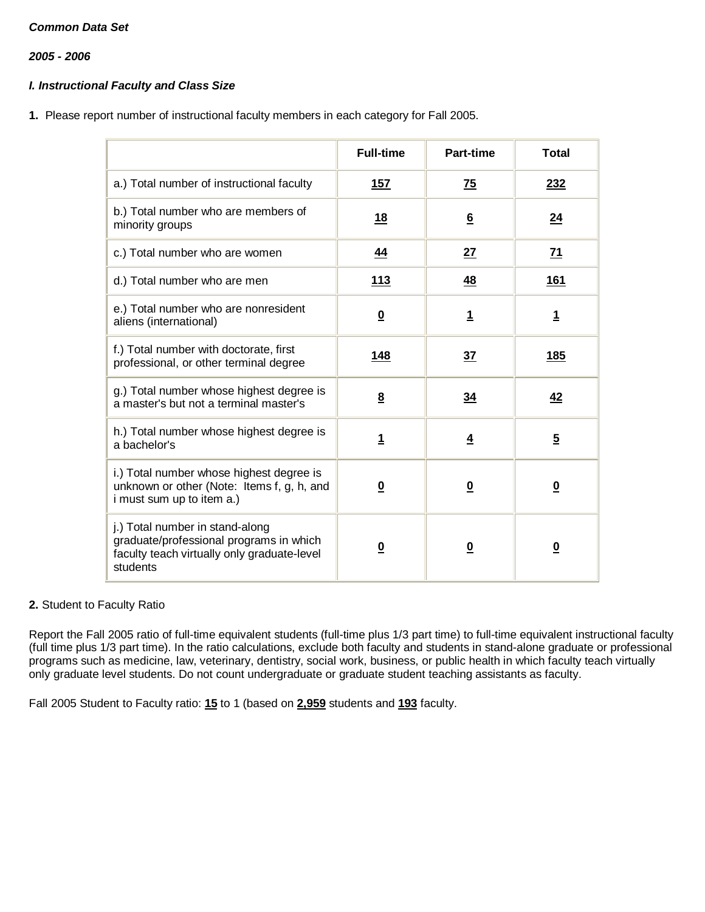*2005 - 2006*

## *I. Instructional Faculty and Class Size*

**1.** Please report number of instructional faculty members in each category for Fall 2005.

|                                                                                                                                       | <b>Full-time</b>        | Part-time               | <b>Total</b>            |
|---------------------------------------------------------------------------------------------------------------------------------------|-------------------------|-------------------------|-------------------------|
| a.) Total number of instructional faculty                                                                                             | <u>157</u>              | <b>75</b>               | 232                     |
| b.) Total number who are members of<br>minority groups                                                                                | 18                      | $6\phantom{1}$          | <u>24</u>               |
| c.) Total number who are women                                                                                                        | 44                      | 27                      | 71                      |
| d.) Total number who are men                                                                                                          | <u>113</u>              | <u>48</u>               | <b>161</b>              |
| e.) Total number who are nonresident<br>aliens (international)                                                                        | $\overline{\mathbf{0}}$ | $\overline{1}$          | <u>1</u>                |
| f.) Total number with doctorate, first<br>professional, or other terminal degree                                                      | 148                     | 37                      | 185                     |
| g.) Total number whose highest degree is<br>a master's but not a terminal master's                                                    | $\underline{8}$         | 34                      | <u>42</u>               |
| h.) Total number whose highest degree is<br>a bachelor's                                                                              | $\mathbf{1}$            | $\overline{4}$          | $5\overline{)}$         |
| i.) Total number whose highest degree is<br>unknown or other (Note: Items f, g, h, and<br>i must sum up to item a.)                   | $\overline{\mathbf{0}}$ | $\overline{\mathbf{0}}$ | $\overline{\mathbf{0}}$ |
| j.) Total number in stand-along<br>graduate/professional programs in which<br>faculty teach virtually only graduate-level<br>students | $\overline{\mathbf{0}}$ | $\overline{\mathbf{0}}$ | $\overline{\mathbf{0}}$ |

## **2.** Student to Faculty Ratio

Report the Fall 2005 ratio of full-time equivalent students (full-time plus 1/3 part time) to full-time equivalent instructional faculty (full time plus 1/3 part time). In the ratio calculations, exclude both faculty and students in stand-alone graduate or professional programs such as medicine, law, veterinary, dentistry, social work, business, or public health in which faculty teach virtually only graduate level students. Do not count undergraduate or graduate student teaching assistants as faculty.

Fall 2005 Student to Faculty ratio: **15** to 1 (based on **2,959** students and **193** faculty.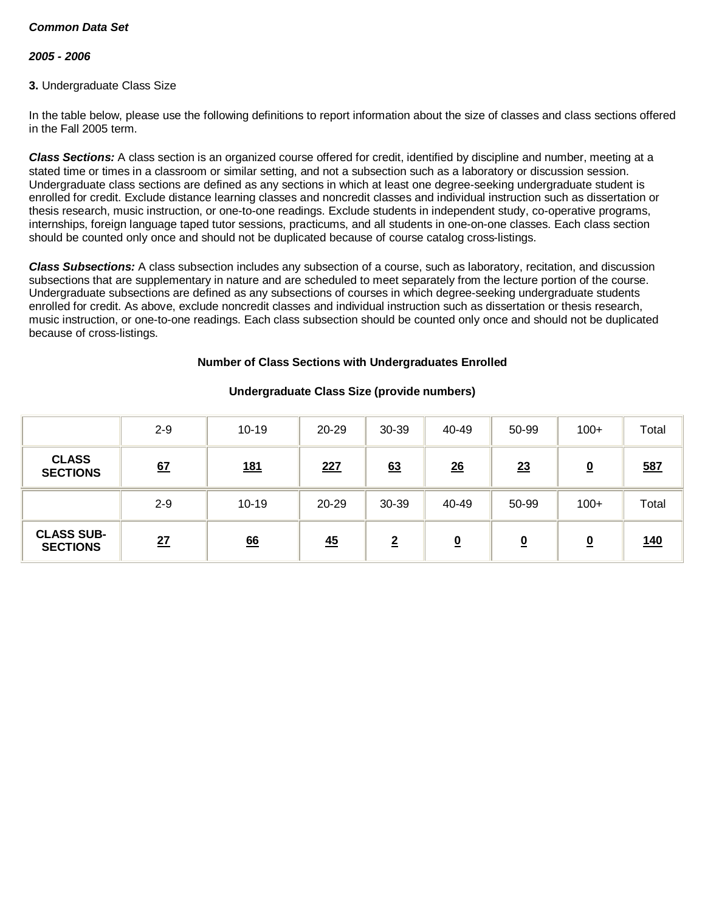## *2005 - 2006*

## **3.** Undergraduate Class Size

In the table below, please use the following definitions to report information about the size of classes and class sections offered in the Fall 2005 term.

*Class Sections:* A class section is an organized course offered for credit, identified by discipline and number, meeting at a stated time or times in a classroom or similar setting, and not a subsection such as a laboratory or discussion session. Undergraduate class sections are defined as any sections in which at least one degree-seeking undergraduate student is enrolled for credit. Exclude distance learning classes and noncredit classes and individual instruction such as dissertation or thesis research, music instruction, or one-to-one readings. Exclude students in independent study, co-operative programs, internships, foreign language taped tutor sessions, practicums, and all students in one-on-one classes. Each class section should be counted only once and should not be duplicated because of course catalog cross-listings.

*Class Subsections:* A class subsection includes any subsection of a course, such as laboratory, recitation, and discussion subsections that are supplementary in nature and are scheduled to meet separately from the lecture portion of the course. Undergraduate subsections are defined as any subsections of courses in which degree-seeking undergraduate students enrolled for credit. As above, exclude noncredit classes and individual instruction such as dissertation or thesis research, music instruction, or one-to-one readings. Each class subsection should be counted only once and should not be duplicated because of cross-listings.

#### **Number of Class Sections with Undergraduates Enrolled**

|                                      | $2 - 9$ | $10 - 19$  | $20 - 29$ | 30-39          | 40-49    | 50-99    | $100+$                  | Total      |
|--------------------------------------|---------|------------|-----------|----------------|----------|----------|-------------------------|------------|
| <b>CLASS</b><br><b>SECTIONS</b>      | 67      | <u>181</u> | 227       | 63             | 26       | 23       | $\overline{\mathbf{0}}$ | 587        |
|                                      | $2 - 9$ | $10 - 19$  | 20-29     | 30-39          | 40-49    | 50-99    | $100+$                  | Total      |
| <b>CLASS SUB-</b><br><b>SECTIONS</b> | 27      | 66         | 45        | $\overline{2}$ | <u>0</u> | <u>0</u> | <u>0</u>                | <u>140</u> |

## **Undergraduate Class Size (provide numbers)**